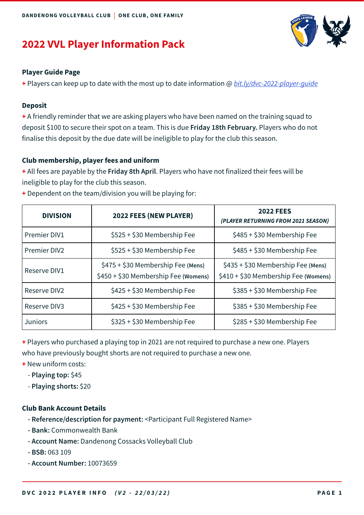DANDENONG VOLLEYBALL CLUB | ONE CLUB, ONE FAMILY

# **2022 VVL Player Information Pack**

## **Player Guide Page**

**+** Players can keep up to date with the most up to date information @ *bit.ly/dvc-2022-player-guide*

# **Deposit**

**+** A friendly reminder that we are asking players who have been named on the training squad to deposit \$100 to secure their spot on a team. This is due **Friday 18th February.** Players who do not finalise this deposit by the due date will be ineligible to play for the club this season.

# **Club membership, player fees and uniform**

**+** All fees are payable by the **Friday 8th April**. Players who have not finalized their fees will be ineligible to play for the club this season.

| <b>DIVISION</b>     | 2022 FEES (NEW PLAYER)                                                     | <b>2022 FEES</b><br>(PLAYER RETURNING FROM 2021 SEASON)                    |
|---------------------|----------------------------------------------------------------------------|----------------------------------------------------------------------------|
| <b>Premier DIV1</b> | \$525 + \$30 Membership Fee                                                | \$485 + \$30 Membership Fee                                                |
| <b>Premier DIV2</b> | \$525 + \$30 Membership Fee                                                | \$485 + \$30 Membership Fee                                                |
| Reserve DIV1        | \$475 + \$30 Membership Fee (Mens)<br>\$450 + \$30 Membership Fee (Womens) | \$435 + \$30 Membership Fee (Mens)<br>\$410 + \$30 Membership Fee (Womens) |
| Reserve DIV2        | \$425 + \$30 Membership Fee                                                | \$385 + \$30 Membership Fee                                                |
| Reserve DIV3        | \$425 + \$30 Membership Fee                                                | \$385 + \$30 Membership Fee                                                |
| <b>Juniors</b>      | \$325 + \$30 Membership Fee                                                | \$285 + \$30 Membership Fee                                                |

**+** Dependent on the team/division you will be playing for:

**+** Players who purchased a playing top in 2021 are not required to purchase a new one. Players who have previously bought shorts are not required to purchase a new one.

**+** New uniform costs:

- **Playing top:** \$45
- - **Playing shorts:** \$20

### **Club Bank Account Details**

- **Reference/description for payment:** <Participant Full Registered Name>
- **Bank:** Commonwealth Bank
- **Account Name:** Dandenong Cossacks Volleyball Club
- **BSB:** 063 109
- **Account Number:** 10073659